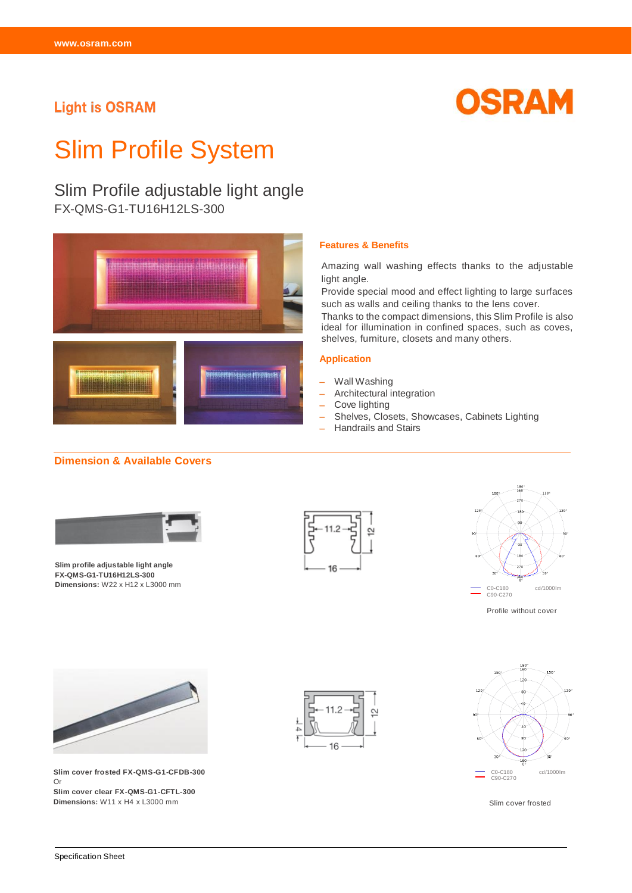## **Light is OSRAM**



# Slim Profile System

## Slim Profile adjustable light angle

FX-QMS-G1-TU16H12LS-300



## **Dimension & Available Covers**



**Slim profile adjustable light angle FX-QMS-G1-TU16H12LS-300 Dimensions:** W22 x H12 x L3000 mm



**Features & Benefits**

light angle.

**Application**

- Wall Washing

- Cove lighting

- Architectural integration

- Handrails and Stairs

Amazing wall washing effects thanks to the adjustable

Provide special mood and effect lighting to large surfaces such as walls and ceiling thanks to the lens cover.

Thanks to the compact dimensions, this Slim Profile is also ideal for illumination in confined spaces, such as coves,

Shelves, Closets, Showcases, Cabinets Lighting

shelves, furniture, closets and many others.



Profile without cover



**Slim cover frosted FX-QMS-G1-CFDB-300**  Or **Slim cover clear FX-QMS-G1-CFTL-300 Dimensions:** W11 x H4 x L3000 mm





Slim cover frosted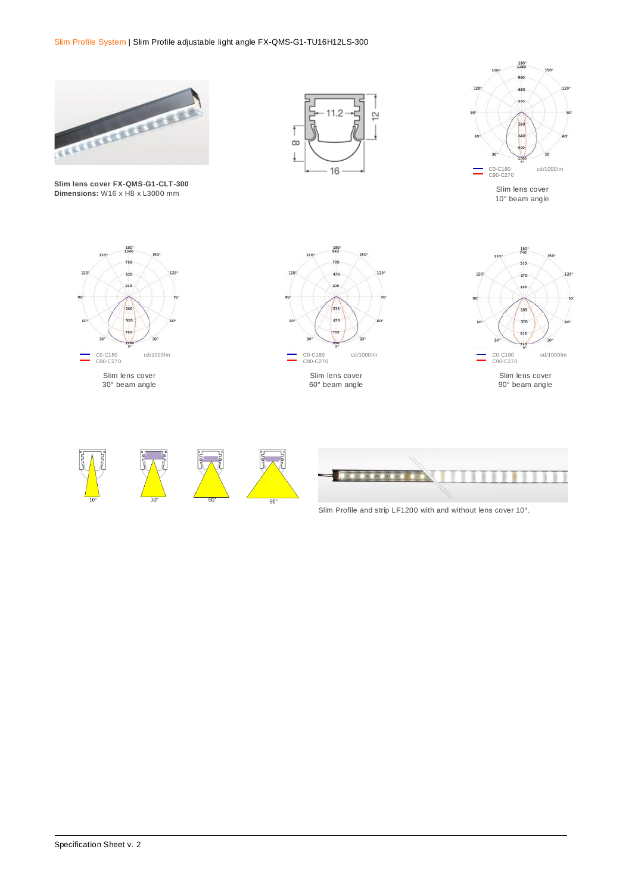

**Slim lens cover FX-QMS-G1-CLT-300 Dimensions:** W16 x H8 x L3000 mm





Slim lens cover 10° beam angle



30° beam angle





90° beam angle









Slim Profile and strip LF1200 with and without lens cover 10°.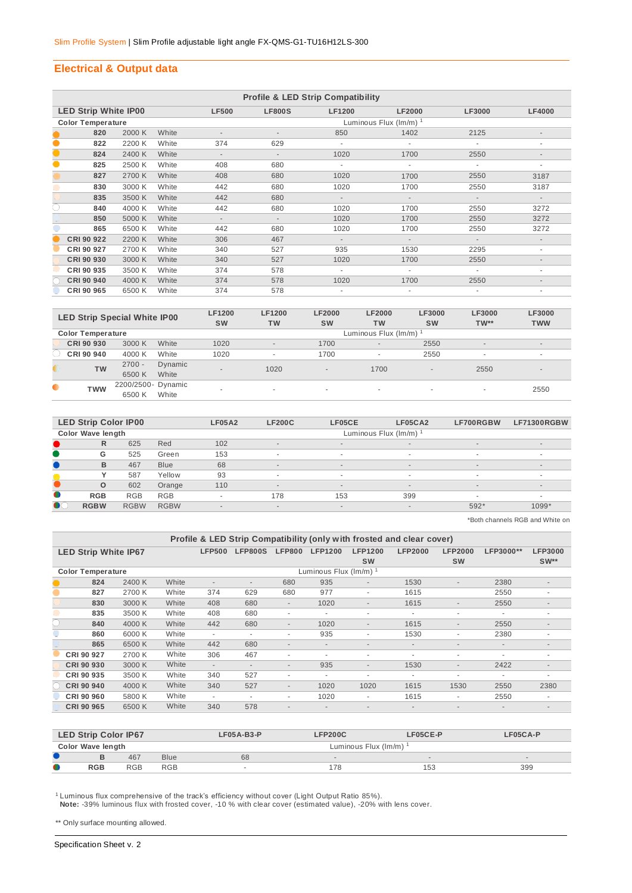## **Electrical & Output data**

|           | <b>Profile &amp; LED Strip Compatibility</b> |        |       |                          |                             |               |               |               |                          |  |  |  |  |  |
|-----------|----------------------------------------------|--------|-------|--------------------------|-----------------------------|---------------|---------------|---------------|--------------------------|--|--|--|--|--|
|           | <b>LED Strip White IP00</b>                  |        |       | <b>LF500</b>             | <b>LF800S</b>               | <b>LF1200</b> | <b>LF2000</b> | <b>LF3000</b> | <b>LF4000</b>            |  |  |  |  |  |
|           | <b>Color Temperature</b>                     |        |       |                          | Luminous Flux $(lm/m)^{-1}$ |               |               |               |                          |  |  |  |  |  |
|           | 820                                          | 2000 K | White |                          |                             | 850           | 1402          | 2125          | $\overline{\phantom{a}}$ |  |  |  |  |  |
| $\bullet$ | 822                                          | 2200 K | White | 374                      | 629                         |               |               |               | ٠                        |  |  |  |  |  |
| $\bullet$ | 824                                          | 2400 K | White | $\overline{\phantom{a}}$ | $\overline{\phantom{a}}$    | 1020          | 1700          | 2550          |                          |  |  |  |  |  |
| $\bullet$ | 825                                          | 2500 K | White | 408                      | 680                         | ٠             | ÷.            | ٠             | ۰                        |  |  |  |  |  |
|           | 827                                          | 2700 K | White | 408                      | 680                         | 1020          | 1700          | 2550          | 3187                     |  |  |  |  |  |
|           | 830                                          | 3000 K | White | 442                      | 680                         | 1020          | 1700          | 2550          | 3187                     |  |  |  |  |  |
|           | 835                                          | 3500 K | White | 442                      | 680                         | $\sim$        | $\sim$        | $\sim$        | $\sim$                   |  |  |  |  |  |
| C         | 840                                          | 4000 K | White | 442                      | 680                         | 1020          | 1700          | 2550          | 3272                     |  |  |  |  |  |
|           | 850                                          | 5000 K | White | $\overline{\phantom{a}}$ | $\overline{\phantom{a}}$    | 1020          | 1700          | 2550          | 3272                     |  |  |  |  |  |
|           | 865                                          | 6500 K | White | 442                      | 680                         | 1020          | 1700          | 2550          | 3272                     |  |  |  |  |  |
|           | CRI 90 922                                   | 2200 K | White | 306                      | 467                         | $\sim$        | $\sim$        | $\sim$        | $\sim$                   |  |  |  |  |  |
|           | CRI 90 927                                   | 2700 K | White | 340                      | 527                         | 935           | 1530          | 2295          | ٠                        |  |  |  |  |  |
|           | CRI 90 930                                   | 3000 K | White | 340                      | 527                         | 1020          | 1700          | 2550          | $\overline{\phantom{a}}$ |  |  |  |  |  |
|           | CRI 90 935                                   | 3500 K | White | 374                      | 578                         | ٠             | ٠             | ٠             | ٠                        |  |  |  |  |  |
|           | CRI 90 940                                   | 4000 K | White | 374                      | 578                         | 1020          | 1700          | 2550          | $\overline{\phantom{a}}$ |  |  |  |  |  |
|           | CRI 90 965                                   | 6500 K | White | 374                      | 578                         |               |               |               |                          |  |  |  |  |  |

|           | <b>LED Strip Special White IP00</b> |                    |         | <b>LF1200</b><br><b>SW</b> | <b>LF1200</b><br><b>TW</b> | <b>LF2000</b><br><b>SW</b> | <b>LF2000</b><br><b>TW</b> | <b>LF3000</b><br><b>SW</b> | LF3000<br>$TW**$         | LF3000<br><b>TWW</b>     |  |  |  |
|-----------|-------------------------------------|--------------------|---------|----------------------------|----------------------------|----------------------------|----------------------------|----------------------------|--------------------------|--------------------------|--|--|--|
|           | <b>Color Temperature</b>            |                    |         |                            | Luminous Flux (Im/m)       |                            |                            |                            |                          |                          |  |  |  |
|           | CRI 90 930                          | 3000 K             | White   | 1020                       | $\overline{\phantom{a}}$   | 1700                       | $\overline{\phantom{a}}$   | 2550                       | $\overline{\phantom{a}}$ | $\overline{\phantom{a}}$ |  |  |  |
|           | CRI 90 940                          | 4000 K             | White   | 1020                       | $\overline{\phantom{a}}$   | 1700                       |                            | 2550                       | $\overline{\phantom{a}}$ | $\sim$                   |  |  |  |
|           | <b>TW</b>                           | $2700 -$           | Dynamic | $\overline{\phantom{a}}$   | 1020                       | $\overline{\phantom{a}}$   | 1700                       | $\sim$                     | 2550                     | $\overline{a}$           |  |  |  |
|           |                                     | 6500K              | White   |                            |                            |                            |                            |                            |                          |                          |  |  |  |
| $\bullet$ | <b>TWW</b>                          | 2200/2500- Dynamic |         |                            |                            | ۰                          |                            |                            |                          | 2550                     |  |  |  |
|           |                                     | 6500 K             | White   |                            |                            |                            | $\overline{\phantom{a}}$   |                            | $\overline{\phantom{a}}$ |                          |  |  |  |

|           | <b>LED Strip Color IP00</b> |             |             | <b>LF05A2</b>            | <b>LF200C</b>            | LF05CE | LF05CA2                  | LF700RGBW  | LF71300RGBW              |  |  |  |  |
|-----------|-----------------------------|-------------|-------------|--------------------------|--------------------------|--------|--------------------------|------------|--------------------------|--|--|--|--|
|           | <b>Color Wave length</b>    |             |             |                          | Luminous Flux (Im/m)     |        |                          |            |                          |  |  |  |  |
|           | R                           | 625         | Red         | 102                      | $\overline{\phantom{a}}$ | $\sim$ | $\sim$                   | $\sim$     | $\sim$                   |  |  |  |  |
|           | G                           | 525         | Green       | 153                      | ٠                        | ٠.     | ۰                        | -          | $\overline{\phantom{a}}$ |  |  |  |  |
|           | B                           | 467         | <b>Blue</b> | 68                       | $\overline{\phantom{a}}$ | $\sim$ | $\sim$                   | $\sim$     | $\sim$                   |  |  |  |  |
|           |                             | 587         | Yellow      | 93                       | ۰                        |        |                          |            |                          |  |  |  |  |
|           | $\circ$                     | 602         | Orange      | 110                      | $\overline{\phantom{a}}$ | $\sim$ | $\overline{\phantom{a}}$ | $\sim$     | $\sim$                   |  |  |  |  |
| $\bullet$ | <b>RGB</b>                  | <b>RGB</b>  | <b>RGB</b>  | ۰                        | 178                      | 153    | 399                      | <b>100</b> | $\sim$                   |  |  |  |  |
| $\bullet$ | <b>RGBW</b>                 | <b>RGBW</b> | <b>RGBW</b> | $\overline{\phantom{a}}$ | $\overline{\phantom{a}}$ | $\sim$ | $\overline{\phantom{a}}$ | $592*$     | 1099*                    |  |  |  |  |
|           |                             |             |             |                          |                          |        |                          |            |                          |  |  |  |  |

\*Both channels RGB and White on

|           | Profile & LED Strip Compatibility (only with frosted and clear cover) |        |       |                          |                          |                          |                                   |                          |                          |                          |                          |                          |  |  |
|-----------|-----------------------------------------------------------------------|--------|-------|--------------------------|--------------------------|--------------------------|-----------------------------------|--------------------------|--------------------------|--------------------------|--------------------------|--------------------------|--|--|
|           | <b>LED Strip White IP67</b>                                           |        |       | <b>LFP500</b>            | <b>LFP800S</b>           | <b>LFP800</b>            | <b>LFP1200</b>                    | <b>LFP1200</b>           | <b>LFP2000</b>           | <b>LFP2000</b>           | LFP3000**                | <b>LFP3000</b>           |  |  |
|           |                                                                       |        |       |                          |                          |                          |                                   | <b>SW</b>                |                          | <b>SW</b>                |                          | $SW**$                   |  |  |
|           | <b>Color Temperature</b>                                              |        |       |                          |                          |                          | Luminous Flux (Im/m) <sup>1</sup> |                          |                          |                          |                          |                          |  |  |
|           | 824                                                                   | 2400 K | White | $\overline{\phantom{a}}$ | $\overline{\phantom{a}}$ | 680                      | 935                               | $\overline{\phantom{a}}$ | 1530                     | $\sim$                   | 2380                     | $\sim$                   |  |  |
| $\bullet$ | 827                                                                   | 2700 K | White | 374                      | 629                      | 680                      | 977                               | ٠                        | 1615                     |                          | 2550                     |                          |  |  |
|           | 830                                                                   | 3000 K | White | 408                      | 680                      | $\overline{\phantom{a}}$ | 1020                              | $\overline{\phantom{a}}$ | 1615                     | $\sim$                   | 2550                     | $\sim$                   |  |  |
|           | 835                                                                   | 3500 K | White | 408                      | 680                      | ۰                        | ٠                                 | ٠                        | ٠                        | ٠                        |                          | ٠                        |  |  |
|           | 840                                                                   | 4000 K | White | 442                      | 680                      | $\overline{\phantom{a}}$ | 1020                              | $\overline{\phantom{a}}$ | 1615                     | $\sim$                   | 2550                     | ٠                        |  |  |
|           | 860                                                                   | 6000 K | White | $\overline{\phantom{a}}$ | $\overline{\phantom{a}}$ | ۰                        | 935                               | ٠                        | 1530                     | ٠                        | 2380                     | ٠                        |  |  |
|           | 865                                                                   | 6500 K | White | 442                      | 680                      | $\overline{\phantom{a}}$ | $\overline{\phantom{a}}$          | $\overline{\phantom{a}}$ | $\overline{\phantom{a}}$ | ٠                        | $\overline{\phantom{a}}$ | ٠                        |  |  |
|           | CRI 90 927                                                            | 2700 K | White | 306                      | 467                      | ۰                        | ٠                                 | ٠                        | ٠                        | ٠                        | ۰                        | ٠                        |  |  |
|           | CRI 90 930                                                            | 3000 K | White | $\overline{\phantom{a}}$ | $\overline{\phantom{a}}$ | $\overline{\phantom{a}}$ | 935                               | $\overline{\phantom{a}}$ | 1530                     | $\overline{\phantom{a}}$ | 2422                     | $\overline{\phantom{a}}$ |  |  |
|           | CRI 90 935                                                            | 3500 K | White | 340                      | 527                      | ٠                        | ۰                                 | ٠                        | ٠                        | ٠                        | ۰                        | ۰                        |  |  |
|           | CRI 90 940                                                            | 4000 K | White | 340                      | 527                      | $\overline{\phantom{a}}$ | 1020                              | 1020                     | 1615                     | 1530                     | 2550                     | 2380                     |  |  |
|           | CRI 90 960                                                            | 5800 K | White | $\overline{\phantom{a}}$ | $\overline{a}$           | $\sim$                   | 1020                              | ٠                        | 1615                     | ٠                        | 2550                     | ۰                        |  |  |
|           | CRI 90 965                                                            | 6500 K | White | 340                      | 578                      |                          |                                   |                          |                          |                          |                          |                          |  |  |

|   | <b>LED Strip Color IP67</b> |            |             | $LFO5A-B3-P$ | <b>LFP200C</b><br>LF05CE-P         |        |     |  |  |  |
|---|-----------------------------|------------|-------------|--------------|------------------------------------|--------|-----|--|--|--|
|   | <b>Color Wave length</b>    |            |             |              | Luminous Flux $(\text{Im/m})^{-1}$ |        |     |  |  |  |
|   |                             | 467        | <b>Blue</b> | 68           | $\sim$                             | $\sim$ |     |  |  |  |
| O | <b>RGB</b>                  | <b>RGB</b> | <b>RGB</b>  | <b>1999</b>  | 178                                | 153    | 399 |  |  |  |

<sup>1</sup> Luminous flux comprehensive of the track's efficiency without cover (Light Output Ratio 85%).  **Note:** -39% luminous flux with frosted cover, -10 % with clear cover (estimated value), -20% with lens cover.

\*\* Only surface mounting allowed.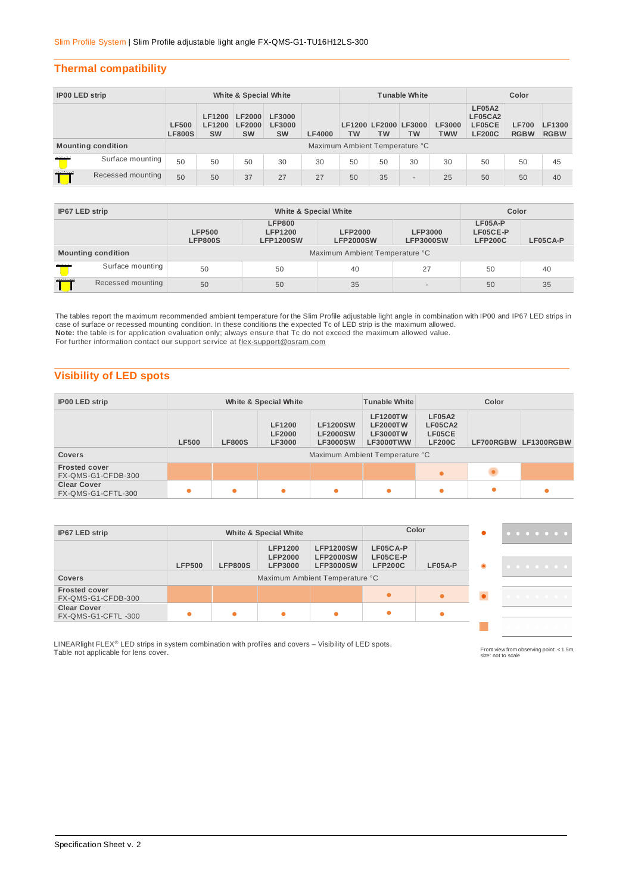## **Thermal compatibility**

| IP00 LED strip |                           | White & Special White         |                                      |                                             |                                      |                                | <b>Tunable White</b> |                            |           |                             | Color                                               |                             |                       |
|----------------|---------------------------|-------------------------------|--------------------------------------|---------------------------------------------|--------------------------------------|--------------------------------|----------------------|----------------------------|-----------|-----------------------------|-----------------------------------------------------|-----------------------------|-----------------------|
|                |                           | <b>LF500</b><br><b>LF800S</b> | <b>LF1200</b><br>LF1200<br><b>SW</b> | <b>LF2000</b><br><b>LF2000</b><br><b>SW</b> | LF3000<br><b>LF3000</b><br><b>SW</b> | <b>LF4000</b>                  | <b>TW</b>            | LF1200 LF2000 LF3000<br>TW | <b>TW</b> | <b>LF3000</b><br><b>TWW</b> | <b>LF05A2</b><br>LF05CA2<br>LF05CE<br><b>LF200C</b> | <b>LF700</b><br><b>RGBW</b> | LF1300<br><b>RGBW</b> |
|                | <b>Mounting condition</b> |                               |                                      |                                             |                                      | Maximum Ambient Temperature °C |                      |                            |           |                             |                                                     |                             |                       |
| <b>MARINE</b>  | Surface mounting          | 50                            | 50                                   | 50                                          | 30                                   | 30                             | 50                   | 50                         | 30        | 30                          | 50                                                  | 50                          | 45                    |
| man            | Recessed mounting         | 50                            | 50                                   | 37                                          | 27                                   | 27                             | 50                   | 35                         | $\sim$    | 25                          | 50                                                  | 50                          | 40                    |

| IP67 LED strip  |                           |                                 | Color                                               |                                    |                                    |                                       |          |  |  |
|-----------------|---------------------------|---------------------------------|-----------------------------------------------------|------------------------------------|------------------------------------|---------------------------------------|----------|--|--|
|                 |                           | <b>LFP500</b><br><b>LFP800S</b> | <b>LFP800</b><br><b>LFP1200</b><br><b>LFP1200SW</b> | <b>LFP2000</b><br><b>LFP2000SW</b> | <b>LFP3000</b><br><b>LFP3000SW</b> | LF05A-P<br>LF05CE-P<br><b>LFP200C</b> | LF05CA-P |  |  |
|                 | <b>Mounting condition</b> | Maximum Ambient Temperature °C  |                                                     |                                    |                                    |                                       |          |  |  |
| <b>Allenary</b> | Surface mounting          | 50                              | 50                                                  | 40                                 | 27                                 | 50                                    | 40       |  |  |
| mann            | Recessed mounting         | 50                              | 50                                                  | 35                                 |                                    | 50                                    | 35       |  |  |

The tables report the maximum recommended ambient temperature for the Slim Profile adjustable light angle in combination with IP00 and IP67 LED strips in<br>case of surface or recessed mounting condition. In these conditions **Note:** the table is for application evaluation only; always ensure that Tc do not exceed the maximum allowed value. For further information contact our support service at flex-support@osram.com

## **Visibility of LED spots**

| <b>IP00 LED strip</b>                                                            | White & Special White |   |           |                                                       | <b>Tunable White</b>                                                      | Color                                               |  |                      |  |
|----------------------------------------------------------------------------------|-----------------------|---|-----------|-------------------------------------------------------|---------------------------------------------------------------------------|-----------------------------------------------------|--|----------------------|--|
| <b>LF1200</b><br><b>LF2000</b><br><b>LF500</b><br><b>LF800S</b><br><b>LF3000</b> |                       |   |           | <b>LF1200SW</b><br><b>LF2000SW</b><br><b>LF3000SW</b> | <b>LF1200TW</b><br><b>LF2000TW</b><br><b>LF3000TW</b><br><b>LF3000TWW</b> | <b>LF05A2</b><br>LF05CA2<br>LF05CE<br><b>LF200C</b> |  | LF700RGBW LF1300RGBW |  |
| <b>Covers</b>                                                                    |                       |   |           |                                                       | Maximum Ambient Temperature °C                                            |                                                     |  |                      |  |
| <b>Frosted cover</b><br>FX-QMS-G1-CFDB-300                                       |                       |   |           |                                                       |                                                                           | $\bullet$                                           |  |                      |  |
| <b>Clear Cover</b><br>FX-QMS-G1-CFTL-300                                         |                       | ٠ | $\bullet$ | $\bullet$                                             |                                                                           | ٠                                                   |  |                      |  |

| IP67 LED strip                             |               | White & Special White |                                                    |                                                          | Color                                  |           | .         |   |
|--------------------------------------------|---------------|-----------------------|----------------------------------------------------|----------------------------------------------------------|----------------------------------------|-----------|-----------|---|
|                                            | <b>LFP500</b> | <b>LFP800S</b>        | <b>LFP1200</b><br><b>LFP2000</b><br><b>LFP3000</b> | <b>LFP1200SW</b><br><b>LFP2000SW</b><br><b>LFP3000SW</b> | LF05CA-P<br>LF05CE-P<br><b>LFP200C</b> | LF05A-P   | $\bullet$ | . |
| <b>Covers</b>                              |               |                       |                                                    | Maximum Ambient Temperature °C                           |                                        |           |           |   |
| <b>Frosted cover</b><br>FX-QMS-G1-CFDB-300 |               |                       |                                                    |                                                          |                                        | $\bullet$ |           |   |
| <b>Clear Cover</b><br>FX-QMS-G1-CFTL-300   |               |                       |                                                    | $\bullet$                                                |                                        |           |           |   |

LINEARlight FLEX® LED strips in system combination with profiles and covers – Visibility of LED spots. The medical computation observing point: < 1.5m,<br>Table not applicable for lens cover.

Front view from observing point: < 1.5m,<br>size: not to scale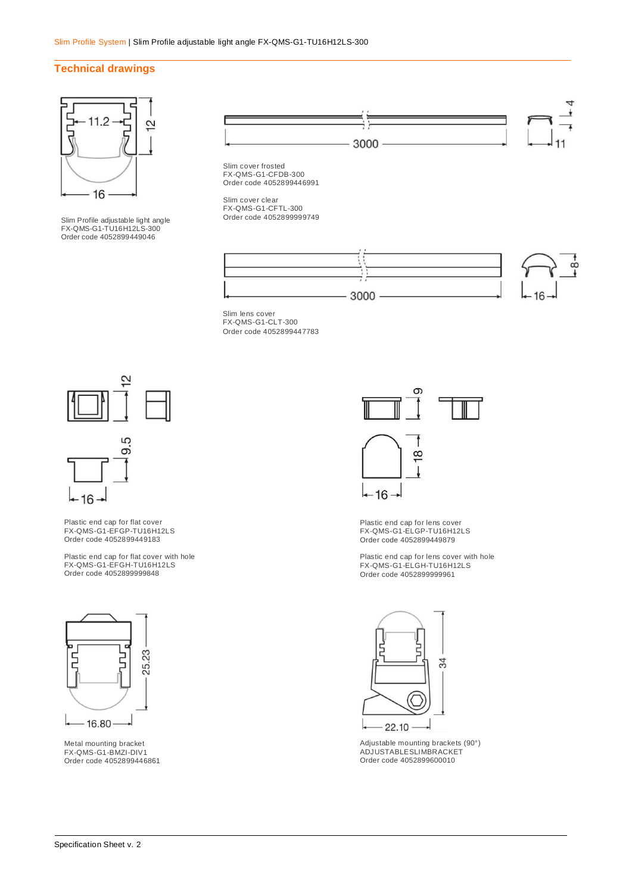### **Technical drawings**



Slim Profile adjustable light angle FX-QMS-G1-TU16H12LS-300 Order code 4052899449046



Slim cover frosted FX-QMS-G1-CFDB-300 Order code 4052899446991

Slim cover clear FX-QMS-G1-CFTL-300 Order code 4052899999749



Slim lens cover FX-QMS-G1-CLT-300 Order code 4052899447783



Plastic end cap for flat cover FX-QMS-G1-EFGP-TU16H12LS Order code 4052899449183

 $16 -$ 

Plastic end cap for flat cover with hole FX-QMS-G1-EFGH-TU16H12LS Order code 4052899999848



Metal mounting bracket FX-QMS-G1-BMZI-DIV1 Order code 4052899446861



Plastic end cap for lens cover FX-QMS-G1-ELGP-TU16H12LS Order code 4052899449879

Plastic end cap for lens cover with hole FX-QMS-G1-ELGH-TU16H12LS Order code 4052899999961



Adjustable mounting brackets (90°) ADJUSTABLESLIMBRACKET Order code 4052899600010